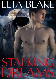# LETA BLAKE

Ш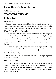# **Love Has No Boundaries**

#### *An M/M Romance series*

# **STALKING DREAMS**

# **By Leta Blake**

## **Introduction**

The story you are about to read celebrates love, sex and romance between men. It is a product of the *Love Has No Boundaries* promotion sponsored by the *Goodreads M/M Romance Group* and is published as a free gift to you.

## **What Is Love Has No Boundaries?**

The *Goodreads M/M Romance Group* invited members to choose a photo and pen a letter asking for a short M/M romance story inspired by the image; authors from the group were encouraged to select a letter and write an original tale. The result was an outpouring of creativity that shone a spotlight on the special bond between M/M romance writers and the people who love what they do.

A written description of the image that inspired this story is provided along with the original request letter. If you'd like to view the photo, please feel free to join the [Goodreads M/M Romance Group](http://www.goodreads.com/group/show/20149-m-m-romance) and visit the discussion section: *Love Has No Boundaries*.

Whether you are an avid M/M romance reader or new to the genre, you are in for a delicious treat.

## **Words of Caution**

This story may contain sexually explicit content and is **intended for adult readers.**It may contain content that is disagreeable or distressing to some readers. The *M/M Romance Group* strongly recommends that each reader review the General Information section before each story for story tags as well as for content warnings.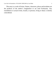This story is a work of fiction. Names, characters, places and incidents are the products of the author's imagination or are used fictitiously. Any resemblance to actual events, locales, or persons, living or dead, is entirely coincidental.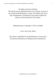All rights reserved worldwide.

This eBook may be distributed freely in its entirety courtesy of the *Goodreads M/M Romance Group*. This eBook may not be sold, manipulated or reproduced in any format without the express written permission of the author.

Stalking Dreams, Copyright © 2013 Leta Blake

Cover Art by Dar Albert

This ebook is published by the *M/M Romance Group* and is not directly endorsed by or affiliated with Goodreads Inc.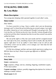# **STALKING DREAMS**

# **By Leta Blake**

## **Photo Description**

Two young men sleeping while spooned together in each other's arms.

## **Story Letter**

#### *Dear Author,*

*I've been scared for so long. I have a stalker who's sent me threatening messages and I've heard the person following me around campus. Last night, the stalker chased me as I was running and I thought I was going to die. Then I ran into him, my TA from my favorite class, literally. I always thought of him as kind of a jerk but when I smacked into him, he saw how scared I was and he walked me home.*

*The rest of the night is a blur, but I just awoke and he's wrapped around me. I feel safe in his arms, something I haven't felt in months. But why did he appear right then? Is he my stalker? I don't think so but it's still an odd coincidence. If he's not my stalker, is he in danger, too? And what the hell happened last night?*

*[I'd like lots of danger and fear and near-death experiences ending in an HEA for these two boys. Please no great age difference or BDSM.]*

*Sincerely,*

*Kelly Maybedog*

#### **Story Info**

**Genre:** contemporary

**Tags:** suspense, college, oral sex, rimming, fingering, established couples, PTSD, hurt/comfort

**Content warnings:** violence, possibly triggering descriptions for victims of stalking or similar violence

**Word count:**10,341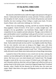# **STALKING DREAMS By Leta Blake**

My muscles ached deliciously under the rough water pressure of the gym's shower. Taekwondo had rendered me sweaty and tired. I'd been a student of the discipline for half a decade, in search of both self-protection and mental benefits, but since starting at Rose College a couple years back, I'd never found a Master who could truly challenge me. Until now.

Master Eun was demanding, exacting, and left my muscles feeling like limp spaghetti. I kind of loved it. If he wasn't a cranky straight man—old enough to be my grandfather—my boyfriend, Shane, might've had some competition for my complete and utter adoration. Though, come to think of it, pain and discipline weren't something I really got off on in bed. I was more of a gentle, fun, love-making kind of guy, which made Shane's style even more perfect for me.

Eventually I felt refreshed enough to soap up my hair and wash down my body. Taekwondo had made me lean and fit. I was slightly smaller than Shane, but my wiry muscles were just as strong as his bigger ones, and when wrestling in bed I almost always ended up on top. Unless I wanted Shane on top, which I did often enough to just give in and "lose". Which reminded me, I really did need to teach Shane more taekwondo just to keep things interesting.

I paused in front of the mirrors to run a towel over my hair, noticing the summer sun had added gold to the light brown, and I made some faces in the mirror. My brown eyes were dark-rimmed and I looked tired. The thought brought to mind all the very sexy reasons I'd failed to get a full night's rest, and I dreamily styled my short hair with my fingers and willed my dick not to spring a boner in the locker room. I must have lingered longer than I'd realized because, when I finally left the showers for the locker area, the room was empty. Hadn't there been a few guys still flipping towels at each other when I'd gone in?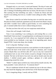Wrapped only in a wet towel, I stood and listened. The drip of water and the hiss of the air conditioner broke the silence, but otherwise it was entirely still. A feeling of foreboding settled into my bones, like the music of a horror film warning me that something was amiss. I cleared my throat and told myself it was nothing, but even so, I couldn't resist calling out softly, "Hello? Max?"

Max always waited for me before leaving since we took the same route. His *fiancée* rented a small attic apartment across the street from Shane's house, and while I wouldn't have called us good friends, we were something like pals. It seemed unlike him to leave without letting me know.

*Not that you know him well,* my ever-suspicious mind told me.

*I know him well enough*, I told it back.

Trust. It was something I was working on, and trusting Max as a new friend hadn't been too hard. I was getting better at realizing not everyone was a psycho. So, I was surprised he'd left without me. Surprised enough that sweat prickled on my forehead, a sure sign of an impending panic attack. Stupid PTSD. I took some deep, slow breaths.

*It isn't a big deal*. *Nothing's wrong*.

I whipped the towel from around my waist and threw it in the receptacle. A noise from the back of the locker room caught my attention, and I swung around. Maybe Max was still here after all? I saw no one, but I noticed the combination lock on one of the lockers swayed as though it had just been brushed. The hair on the back of my neck rose and my breath came fast and shallow. I whirled around again, catching a glimpse of a dark jacket disappearing around the corner.

"Hello?" I called. Spots swirled in my vision and my mouth went dry. My heart pounded. I went cold all over. "Is someone there?"

The air conditioner kicked off and I strained my ears in the new silence, but only heard the dripping water and the buzz of the fluorescent lights.

*You're imagining things,* I sternly told my PTSD.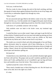*Fuck you,* it told me back.

The low creak of a door closing, the snick of the latch catching, and then the squeak of tennis shoes against linoleum forced the air out of my lungs, and I went dizzy as adrenaline zipped icily through my veins.

"Who's there?"

No one answered and rage filled in the hollow center of my fear. I didn't want to feel this way. *Fuck* the asshole who'd triggered the panic attack slicing through my consciousness, tightening around my chest like a band. Fuck him.

*Calm down. It's probably someone with ear buds.*

*Only assholes wear ear buds in the locker room*, my irrational rage screamed.

I waited but there was no other sound. Angry and eager to get the hell out of there before I freaked myself out even more and ended up passing out from hyperventilation, I jerked open my locker to get my clothes on. My heart lurched into my throat and a silent scream froze in my throat.

The inside was covered in black and white photographs of me and Shane, photos obviously taken by someone who'd been following us. Cut in the shapes of hearts, every last one featured brutal alterations drawn in bright red marker. Shane's throat slit with blood dripping to the ground or Shane's gut sliced open and intestines spilling out.

#### *He found me!*

I looked down at my naked body, my cock and balls shrunken tight against me from cold and fear. My gorge came up and I somehow grabbed my track shorts and T-shirt, pulling them on as I scrambled to get my bag and house keys and stumble away from the locker. Then someone coughed.

I peeked around the corner of the locker.

There stood a hooded man in black blocking the exit. His left hand was loose at his side, but in his right was a knife.

*It's time.*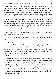How many notes had my stalker sent me saying I'd know when it was time? How many text messages from untraceable phones? He'd found me. There was no turning back now. My heart raced, my mind whirled, and colored dots obscured my vision. I sucked in a breath, trying to stay calm. I was a second-degree black belt, I reminded myself. I could fight him. I could take him.

In my mind's eye, I leaped around the lockers and landed solid strikes that sent the man reeling and the knife flying. But all of my training told me to first seek another way out. I slowly, carefully, moved to the opposite end of the lockers. I looked both ways. Public spaces required at least two exits, didn't they? Weren't there fire regulations? I made a move toward the back of the locker room.

*But what if there isn't another exit? You'll die huddled on the ground, baby boy, awash in your own blood.* 

*Shut up,* I told myself. *And don't spit his creepy bullshit at me. I can take him.*

*You can't.*

"Show me," I heard and felt the heat of breath against my neck. I didn't turn around. I screamed and scrambled over benches, lunging for the front exit. Impossibly, he was there too. I whirled around to check my vulnerable back, but there was no one behind me at all. There was only the hooded man by the door, his knife shining in his pale fingers.

*So here we are.* 

After notes and gifts, threats and violence, after slashed car tires, broken windows, poisoned bird seed in our feeder and a yard full of dead birds, after death threats, rape threats, long violent passages about the things he'd do to my body, after emails, texts, valentines full of vitriol, after evil that seeped into me and filled me with fear and ruined years of my life, after the three years of hell he'd put me through—I'd left everything. I'd turned my back on *everyone* to get away from him, moving six hours from home to keep my family safe. I'd given up everything.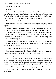And now here we were.

*Finally.*

"I'm not afraid of you," I said, my voice shaking with every word. I moved into a fight stance and waited for him to make the first move. Another noise from behind me forced me to break eye contact and check my back. Again there was no one. I swung front again, crouching and ready.

My heart stopped at what I saw.

He held Shane—*my* Shane—by the neck, the knife pressed tight against his jugular.

"Shane, stay still," I whispered, my throat tight and tears stinging my eyes. A rivulet of blood ran down Shane's throat and his eyes bugged. Adrenaline like I'd never known nearly blew my head off, and I felt as though I might levitate from the rush of pure fear. "Please, you don't have to hurt him. I'll do whatever you want," I said. "I won't fight you. I'll leave with you. I'll go now. Please—just let him go."

Shane struggled and the hooded man subdued him with a flick of the knife. I flinched as more blood cascaded down Shane's neck and his terrified yelp echoed in the locker room.

"Please," I said again. "I'll do anything. I love him."

The man's grip tightened and my heart lurched. I'd said the wrong thing. Shane seemed to know it, too, his eyes going bright with terror.

"I love you, too," Shane whispered.

And it happened as though in slow motion. Blood spurted from Shane's neck, soaking me, splashing hot on my face, and I screamed, falling to my knees. Helpless, overwhelming grief and horror tore through me as he tossed Shane's body aside and advanced on me. I knelt in Shane's blood, still screaming. I lifted my arms out and closed my eyes, waiting for the knife—

"River, wake up! It's a dream. C'mon, shh, it's a dream. It's okay. You're here with me."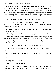I blinked in the semi-darkness of Shane's room, sitting straight up in bed, sweat pouring off me. I couldn't stop screaming. I'd just seen Shane die in front of my eyes. His arms around me, holding me as I thrashed and fought, and his voice in my ear were nothing compared to the reality of that moment when the stranger who'd hunted and stalked me for so long had slit the throat of the man I loved.

"No!" I covered my eyes, trying to block out the images.

"River," Shane said, and this time his voice was stern, almost angry. I wasn't sure I'd ever heard Shane sound angry before—not with me anyway. "It's a dream. Wake up."

I pressed a hand to my mouth to keep the horror in, and my scream lowered to a soft wail.

"That's it," Shane said, his voice soothing again. "Wake up, Riv."

The door to our room burst open and our housemate, Mike, charged in with a baseball bat, his hair askew, and his underwear low on his hips. The wildness in his eyes finally convinced my still traumatized mind to fully wake, and my wail shut off like a valve.

"What the hell?" he said. "What's going on in here, Gross?"

"Bad dream," Shane explained, rubbing my bare back. "Sorry. Go back to bed."

Mike stared at me until I nodded. "Jesus," he muttered. "Scared the shit out of me."

"Sorry," I whispered.

"You going to be all right?"

"Yeah. I'm awake now so, yeah."

Mike scrubbed a hand in his hair, yawned, and then said, "Okay, well, that must have been a shitty dream, man. I've never heard anyone scream like that."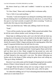My throat closed up a little and I nodded. I wanted to say more, but couldn't.

"It's fine, Ghast," Shane said, invoking Mike's nickname softly.

"Got it. Well, if you need anything—"

"Actually," I said, knowing that I was asking for something a little unusual, but also thinking that it would definitely help me calm down, or at least fill up the space in my head currently occupied with silent screaming. "Could you maybe play that song you keep doing lately?"

"Knew you liked that one," Mike said, rubbing a hand over his eyes.

"Yeah"

"Voice will be scratchy, but sure, buddy." Mike yawned and nodded. Then he left the room without another word, leaving our door open.

Shane kept on rubbing my back, and I sat in the bed with my knees up, staring down at the pattern of my boxer briefs in the dim light from the everglowing laptop screen. Shane said nothing, letting me get it together, and shortly the sound of Mike's fingers picking out the opening guitar riffsof the song I'd requested drifted down the hall from his room.

He was right. His voice was scratchy and sleep-laden, but the song was still soothing. I took a deep shuddering breath. I leaned against Shane and let him pull me down next to him. Shane wrapped his leg around my waist and dragged me as close to him as possible. I felt protected and safe in his arms, as we both listened to the song until it was over. The silence following was broken only by the thump of Mike setting his guitar down and calling out, "Now go to sleep, fuckheads."

However I was wide awake and the thought of dropping back into another dream of Shane's throat being slit wasn't something I could handle.

I thought Shane had fallen asleep and was trying to figure out how to extricate myself from his grip so I could go take a piss, when he spoke.

"It's about the wedding, isn't it? You're dreaming about him because Reed asked you to come home for it."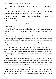"I said I would," I replied, irritably. "And I will. It was just a shitty dream."

"Okay," Shane said, but I could tell he didn't believe me. He was letting me be stubborn because he was always kind to me that way.

I sighed and squirmed out from under his leg and arm. Of *course* it was about going home.

Home to my stalker.

\*\*\*\*

#### *Sixteen hours earlier*

"Hey Gross," Mike called from where he'd set up his project in the shade under the sycamore tree. "You going to plant some of those cherry tomatoes I  $like$ ?"

"Yep, Ghastly," Shane answered. "Already planted two."

I shook my head and grinned at the nicknames. Gross and Ghastly, former frat brothers, roommates, and best friends. I didn't entirely understand their relationship, but I really didn't have to and I truly liked Mike, even if he was a weirdo.

"Good, man, good." Mike let out one of the massive farts which had earned his nickname back when Shane had actually shared a small room in the frat house with him. Shane told me that he'd become immune to Mike's gas, which was good, or else he'd have been forced to murder his best friend in his stinky sleep.

I'd become pretty immune to them, too, since I'd moved in with Shane and Mike for the summer. Ostensibly the move had been to cut out the expense of staying in a dorm room between semesters, but I was pretty sure Shane's offer and my immediate acceptance had a lot more to do with all the smoking-hot sex. Of which, I admit, I really couldn't get enough.

But, beyond that, there was genuine and real love between us. I felt it every time Shane looked my way with his warm, blue eyes, and every time his lips curved into his beautiful smile. The cherry on the Shane-is-awesome sundae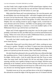was that I hadn't had a single incident of PTSD-related hyper-vigilance since moving in with him. I felt more like my real self than I had since before my stalker started making my life hell almost six years ago.

Mike joked that Shane and I were playing house. We were the parents, and he and Delphie Ann were the bratty kids—and while I laughed when he said it, he wasn't too far from the truth. Today was a perfect example. We were all out in the backyard working on a kind-of-late garden. Or rather, Shane and I were. Delphie Ann was running around in spazzy doggie circles, excited that we were all home and in her territory. And Mike was hot-gluing rocks to Papiermâché, futilely attempting to construct a river-rock-studded replica of the Millennium Falcon to go with his beer-can Death Star.

Shane and I'd both suggested that using beer cans for this project would probably work better for him, but Mike had just waved his hand dismissively saying, "When river rocks call you to make a Millennium Falcon, you make a Millennium Falcon out of river rocks, got it?"

Not really, but I didn't usually argue with Mike's harmless insanity. He'd never listen anyway.

Meanwhile, Shane and I wore dirty shorts and T-shirts, working our asses off to put in a garden. Though it was likely I'd spent more time enjoying the view of Shane's ass as he knelt on the ground, digging holes for the small plants we'd picked up from the nursery, than I had actually working.

His dark blond hair glistened in the sun and his blue eyes reflected the light like sparkling mirrors. I kind of adored him and his face. And his arms. And his thighs. And his smile—God, his smile! Big and wide like Texas or some other vast sunny land! And his hands! Oh, the size and shape of them were amazing, and they were capable of doing so many nice things. With the sweat glistening on his forehead, and his forearms flexing with each shove of the trowel, I considered taking him into the house for a little snack of my cock and ass, because our morning orgasms seemed far too long ago.

I brushed sweat out of my eyes and bent down to the job of straightening the railroad ties around the edges of the big square area we'd cleared with the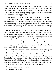help of a neighbor's tiller. I glanced toward Delphie, rolling on her back gleefully in the sunshine. "We'll need to add a few layers of that chicken wire I got, so she doesn't get in the garden. Otherwise, all our efforts will be solely to make Delphie Ann here a very healthy doggie, which of course we want. But I want some of the veggies too."

Shane grunted, listening to me. This was a joint project I'd concocted in part as a test of our compatibility. If we could overcome all my PTSD issues, it might seem we could manage basically anything together. My dick sure thought so anyway. It highly disapproved of my scheme to further test our compatibility with gardening. It was pretty sure Ishould just keep on testing it with sex.

But my mother had always said that a good relationship was built on three things—respect, friendship, and attraction—and the best way to make sure you had all three in full enough measure was to take on mutual responsibilities for something bigger than yourselves. Delphie was Shane's dog, so there was no true sharing when it came to that, even if I did help him out by feeding her when he was at class, or walking her after he'd left in the morning so he could get some extra shut-eye. No, I decided a garden would be a fantastic thing for us to do together—with the bonus of the fresh vegetables I'd been missing since I left my hippie parents' home two years ago.

"We definitely still have time for cucumbers since we sucked it up and bought plants this year, but next year we really need to start the seeds." I realized what I'd said and bit my lip. Shane and I were boyfriends and exclusively so, we'd worked that out early on, but we'd never talked about the future farther than a month or so ahead. The plan was for me to move back to the dorm in the fall, and I didn't know what he'd make of my assumption that we'd be doing this again a year from now. I glanced over to see his face, but he seemed unconcerned, digging yet another little hole with his trowel.

"When do we start seeds?" he asked.

"February or early March."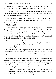"First things first, assholes," Mike said. "Why don't you see if you can even keep the garden going this summer before you start in on next year?"

The idea that maybe Mike was talking about more than the garden crossed my mind, but then again, Mike was never subtle. If he meant me and Shane and not the garden, he would have said so.

"We can handle a garden, can't we, Riv? And even if we can't, it'll be a learning experience, something to grow on, and we can try to get it right next year if we fuck it up."

"Definitely, HP."

The nickname had been inspired from the skinny jeans he wore while TAing for the class my best friend, Hayley, and I'd taken the prior fall. Or more specifically the way his perfect ass had looked in them. Hayley and I had called him T.A. Hottie-pants for months, and when we started dating, I just never stopped. Though, I'd quickly realized Hottie-pants wasn't something I could call him in public, so I'd shortened it to HP.

Most people, even Mike, didn't know the true reference. Sometimes, when Shane and I were being especially moony over each other, Mike would bat his eyes and croon, "Oh, Hewlett-Packard, I love you so much, smoochysmoochy-smoochy!"

Hewlett-Packard. That always made me snort. And no one, not even Hayley, had ever corrected him. And given how obnoxious it is to be around people who were newly in love, I couldn't blame Mike for his very occasional jabs at us.

In the bright sunlight, I skimmed my eyes over the T-shirt stretched tight over Shane's shoulders and chest, down to the loose-fitting track shorts he'd worn pretty much every day since it first got warm. I missed his skinny jeans, but the elastic waist of the track shorts did allow for easy access. I didn't have to work hard to get my mouth around his dick when I wanted to suck him off.

"When a garden gives you dead things, you figure out how to make it give you living things," Shane went on, digging into the dirt with a look of determination. "You don't just give up so easily."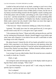I smiled at him and sat back on my heels, wanting to crawl over to him, grab his face, and kiss the hell out of his lovely lips. But Mike was there. It wasn't that we hadn't kissed in front of Mike plenty of times, but the rest of my fantasy involved rolling around in the dirt together, maybe crushing some of the baby plants with our bodies, and ending up with a load of Shane's jizz in my face—and that seemed like it was probably not really something Mike should witness. Or the neighbors. Or Delphie Ann. Really, I needed to get my libido under control, but why should I when Shane was more than eager to share his equally healthy libido with me?

"I like broccoli," Shane volunteered, holding up a baby broccoli plant.

I grinned. "We totally have time for some good broccoli. It even gets a second wind in early fall. It's a true giver once it gets started."

"Like someone else I know," Shane said softly, giving me the eye, and I bit my lip, looking back flirtatiously. Maybe I should suggest we go inside to get some water and a Popsicle. It was kind of hot out and I could think of some fun things to do with a Popsicle.

My phone buzzed. I dusted the dirt off my hands and pulled it out of my pocket, fully expecting it to be Hayley texting me with questions about the gardening soil and organic fertilizer I'd sent her and her latest girlfriend off to Lowes to buy. Hayley was many things—brilliant, feminist, lesbian, matter-offact, honest—but a gardener she was not.

I was wrong. It was my older brother, Reed. He texted me once a month or so, usually to insult me. I loved it.

#### *Dude, ur ugly.*

Just seeing his name and message pop up on the display made me grin so big that Shane asked, teasingly, "Who's that?"

"It's just Reed being his own special self," I said, using my thumbs to quickly type in a response.

*You're adopted.*

*But u'll still be my best man, right?*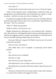*Your what????*

*Getting hitched. Need someone ugly next to me so I look extra good.*

I made a fairly unmanly sound—though Hayley would tell me that was misogynistic to even think that there were sounds that were 'female' or 'male' by nature—and threw my arms up in the air, shouting, "Yes!"

I'd yelled loud enough that Mike turned to look at me and Shane tilted his head obviously eager to know what I was so excited about. I punched the air a few times. "This is so awesome!"

"What is?" Shane said, grinning.

"Hold on, hold on. I'll tell you in a sec."

Delphie interpreted my enthusiasm as a sure indication that I wanted to play. She trotted over and dropped her ball at my feet, performing a play-bow with her tail wagging to and fro. I picked it up and threw it to the other end of the yard, hurriedly replying to Reed when she ran after it.

*Of course! Hell yes! Congrats! Tell Molly I send my love! So excited! So honored you asked!*

*Knew you'd be a girl about it.*

*Does Molly know you're incapable of expressing actual human emotion?*

*Yes.*

*Does she know you're adopted?*

*She knows ur ugly.*

*Does she know you pee sitting down?*

*Does Shane know u ate ur boogers until you were ten?*

*Does Molly know you peed in the bed at summer camp when you were fourteen?*

*She knows u busted ur first nut at same summer camp, while staring at ur counselor (her brother) all snugged in his bed.*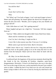*You told her that?*  $N_{O}$ *Good. Don't tell her that. Okay.*

"So? What's up? You look so happy, I can't wait much longer to know," Shane said still grinning. He leaned against the shovel he'd brought out to loosen the dirt even more. "Besides, you're typing so fast your thumbs are going to fall off."

I did a little dance as I said, "He's getting married."

Shane laughed and gave me a high five. "Awesome. Tell him congrats from me."

"And me," Mike called even though he didn't know Reed from Adam.

*Shane and his roommate say congrats.*

*Cool. So, here's the thing. U might not like it.*

*I never like it when anyone says that. From you it's terrifying.*

*Molly wants to get married at home. Back in Sewanee.* 

I didn't know what to say. I stared at the text for a long time and then turned my back on the garden, going to sit on the stoop that led in to the kitchen from the backyard. Shane eyed me from where he knelt with his trowel.

*Ah. Okay. Let me think about that*.

I swallowed hard, the happiness of the previous moments dissolving like the clouds in the sky, becoming all formless, shapeless, panic-laced disappointment. Obviously, I'd have to let Reed know one way or the other, but I was on the verge of tears now, sucker punched by the past I just couldn't seem to shake. I rubbed the heel of my hand over my eyes and cleared my throat, trying to shake it off for now at least by forcing my mind back to the garden.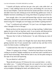"I should call Hayley and have her get a hoe and a rake while she's at Lowes," I said, rubbing sweat out of my eyes, and fending off a wet nose in the ear from Delphie. I took her ball from her mouth and threw it for her, but she didn't leave my side, looking up at me with her big, golden eyes. Great, if Delphie Ann knew something was wrong, then Shane was going to notice too.

Sure enough, after a few more half-hearted digs with the trowel into the tilled earth, Shane threw it aside and strode over to me. "Okay, what's with the mood swing, Riv? I thought you were happy your brother is getting married."

"I am." I swallowed and confessed, "It's just I was a lot happier about it when I thought it'd be in Chicago."

Shane sat down on the stoop next to me, our legs touching. I rubbed mine against his just to feel our leg hairs catch. It was scratchy and distracted me from the mild sense of panic threading through and trying to take hold.

"Because they're both at Northwestern," he said, following my train of thought.

"I mean, not that I really ever thought *that* much about Reed and Molly getting married, but I'd just assumed they would one day and that it'd be easier for them to plan a wedding there."

"I understand that. But what? It's going to be somewhere else?"

"Home. It's going to be at home." I ducked my head down to my knees, curling in on myself. Delphie snuffled my ear and neck until I reached out to pat her head reassuringly. Shane did the same to me, his hot palm resting on the nape of my neck and squeezing.

"So you think he's still there?"

"Beats the hell outta me. If I'd known for even a second where—or who my stalker was…" I trailed off because the wet sound of my voice and the anger mixed in wasn't for Shane. I didn't want to take it out on him. I sighed, sat up straighter dislodging his hand, and rubbed my face.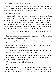We'd caught Mike's attention again, and I saw that he was listening, but as soon as I met his eye he went back to his work, although he didn't glue a single piece of rock, just fiddled with the placements.

My phone buzzed again.

"That's Reed," I said, pulling the phone out of my pocket. "Probably telling me to man up or get over myself." The wounds of those old comments still went deep. After the stalking had escalated to a point that Reed couldn't deny it anymore, he'd never exactly apologized for the asshole things he'd said. Things like, "Who'd want to stalk *you*?" or "It's just assholes at school trying to scare you because you're queer. Get over it." I'd forgiven him long ago, but forgetting wasn't something I'd accomplished yet.

*Riv, I want you to be my best man. But I understand if you won't be there.*

I stared at his words, the letters running together in a way that pissed me off. I dashed my hand against my eyes.

*That said, it's been over two years, Riv. Are you really never coming home again?*

Shane read it over my shoulder and he made a sound that I couldn't interpret. Another text came through.

*Are you going to let him take even more things from you? For all you know he's dead, gone, or past it. Just think it over.*

I sat with the phone in my hand, watching Delphie roll in the yard, getting her dark coat dirty and then standing up to shake it off again. Minutes passed, and Shane shifted restlessly beside me.

"Are you going to reply to him?" he asked.

"Yeah. In a second."

I wanted to ask why Molly didn't understand, why her desire to have a wedding day that was exactly as she'd dreamed it her whole life should trump my physical and emotional safety, but then the selfish absurdity of that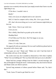question was so entirely obvious that I just simply texted what I knew was the right thing to say.

*I'll be there. I wouldn't miss it.*

*Really?*

*Yeah, even if you are adopted and no one's favorite.*

*Well, it's hard to compete with ur shiny, Riv. Give a guy a break.*

*JFC, that's the nicest thing you've ever said. Someone might think you love me.*

*Ugh. I know. I have to go vomit now.*

*I love you too.*

*This is Molly, Reed had to go puke up his entire life.*

*Shuddup Reed.*

*I'll tell Mom you'll be there. She'll be happy to see you.*

*I'M HER FAVE.*

*I know. It's why I hate you.*

We signed off with our customary *No Love* and I stuffed my phone back in my pocket with a heavy sigh.

"You guys are cute," Shane said. "Makes me wish I had that kind of relationship with any of my siblings."

My words were true, but I sounded as distracted as I felt when I replied, "What? Are you kidding me? The way those kids look up to you is adorable."

Shane had four younger siblings from his father's second marriage, and they all thought he'd hung the moon. Unfortunately, they also lived in Hawaii and Shane rarely saw them in person.

Several long moments of silence passed before Shane said, "So, that's that."

"Yeah. Guess I'll need to get fitted for a tux."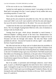#### *It'll be nice to die in a tux. Fashionable at least.*

I gritted my teeth against my traitorous mind. I was going to do this for Reed and it was going to be fine. I wasn't going to let my stalker take away everything anymore. It wasn't fair.

#### *Since when is life anything like fair?*

Shane put his arm around me and pulled me close. He was stinky from sweat and I didn't care at all. I just wanted to roll into his arms and snug my face up to his neck to breathe him in. He asked, "Are you sure about this?"

I looked into his blue eyes and nodded, though my heart had yet to calm down. The very thought of going home filled me with a mix of emotions so strong it took my breath away.

Turning from his gaze, which always demanded so much honesty, I followed Delphie's sniffing perusal of the fence line. Homesickness was something I dealt with occasionally and the thought that I might set foot on Sewanee soil shot me through with elation. The idea that Shane would probably be with me—because he'd surely be with me, right?—only added to the buzz of good anticipation.

My folks had met him on Skype and we'd talked about the possibility of Shane joining us on a family vacation in August if my father's freelance work paid timely and fully. But the idea of showing Shane my childhood bedroom, or the tree I'd climbed trying to get away from Reed's Nerf Ball assault (and then fallen out of breaking my collarbone), or the park where I'd learned how to pop a wheelie on my bike, or introducing him at the old dojang where I'd found intense support from my Masters—despite being obviously gay—was a new kind of thrill.

But if my stalker, so persistent and terrifyingly unknown, wasn't dead, gone, or past it, as Reed had suggested, the entire horror show could start up again. I managed to escape town the first time undetected, but that had been a miracle. And if I had to give up everything again? I looked at Shane, the sun kissing his skin and illuminating new freckles on his nose. Well, I just didn't know if I could do it.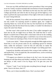Even now my folks and Reed took evasive procedures if they were going to see me. Family vacations included odd convolutions of travel arrangements to throw my stalker off base. And Reed was the only one who came to Rose College specifically and when he did, he always got off the highway a few times to perform the typical procedure of four right or left turns to make sure he wasn't being followed.

Still, the fact remained, if my stalker was out there and I took Shane home, not only would I be exposing myself to madness again, but I might be exposing Shane too. Given the fact that my first boyfriend ran off without looking back after the first threat from my stalker, it wouldn't be ridiculous to expect the same from Shane.

Yet that wasn't what scared me the most. *If* my stalker managed to get back into my life, he might focus on Shane. He could hurt him or worse. Maybe it would be best if Shane *didn't* come home with me for the wedding. That way, if the stalking began again, I could find a way to leave him out of it, even if it meant not returning to Rose. Even if it meant leaving him.

"Look at me, darlin'," Shane said quietly enough that Mike might not have heard him. It was his private name for me, something special for intimate times, unlike the nickname I used for him all willy-nilly no matter the audience. If he was pulling that out then he thought I was falling apart here.

I squared my shoulders and turned to him, trying to look confident, calm, and maybe flirty. A lot of stupid shit, like unwanted terror, can be covered up with flirtation. "Yeah, HP?"

"I'll support you whatever you choose to do, but I care a lot more about keeping you safe than about your brother's wedding. You can watch a video or see photos, or hell, watch it live by Skype, but if *he* gets into your life again…"

"I know," I said. "I can't let him take everything forever though. At some point, I have to be brave, don't I?"

"River, you've been incredibly brave. Don't you know that?"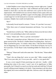I called Delphie to me to keep from having to answer right away. I patted her head, admiring her weird face—half wolfhound and half poodle. She looked so much like a sea lion she could have won a prize for best sea lion impersonator. All I needed to do was convince Shane to host a party with a sea lion impersonation theme, get Mike to agree to be the judge, and maybe build a small stage for it in the backyard so everyone would show off their sea lion costumes. Delphie Ann would win hands down.

"Riv?"

I reluctantly forced myself to answer. "I know. It's just that I ran away."

"After three years of constant harassment and threats. You were brave, River."

"Sounds brave as hell to me," Mike called out from across the lawn where he wasn't even pretending to place rocks anymore.

"Ghast," Shane said. "This is a private conversation."

"Then take it somewhere private. Otherwise it's just another show in the great carnival of life. The River's Stalker Ruins Everything show. And wow," Mike scratched his groin, "it's kinda a shitty show. I like the River & Shane Are In Disgusting Gay Love show better. Or the River & Hayley Are Up To No Good show. Or the Shane Cooks Something Edible For Dinner show. Or the—"

"Shut up," Shane and I said at the same time. "Not the time," Shane added warningly.

"Time's the one thing that's never on your side," Mike crooned softly. "But I'm on your side, yes, I'm on your side…and it's a very good side."

It was a cover song he'd been practicing over and over—loudly—while drinking beer alone in his room. I wasn't sure of its significance to Mike personally, but I'd heard it so much over the last week and a half that I'd found myself walking around singing it a lot lately. I kept meaning to ask him about the original, but it never seemed the right time. And now wasn't the right time either.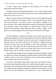"C'mon," Shane said, standing up and dusting off his shorts, and motioning toward the kitchen.

I shook my head and stood up determinedly. "No, it's okay. Hayley will be back with the stuff we need before long and I just want to get the garden done today. We're late on it as it is."

Shane's eyes grew dark with frustrated concern, but he nodded and joined me when I strode over to the square of dirt. I wasn't going to let my stalker ruin my life anymore—not when it came to my brother's wedding, or my peace of mind, or my stupid relationship-test garden. If nothing else, hopefully we'd manage to grow some tomatoes or squash before I returned to my hometown and possibly walked right back into my stalker's sights. It'd be good to eat some homegrown broccoli before he destroyed my life again.

\*\*\*\*

After the nightmare, I pulled out of Shane's arms to take a piss. My sleepaddled legs stumbled as I walked to the bathroom we shared with Mike. Shane followed, and after I finished, he took his turn while I washed my hands. I hesitated when it came time to go back to his bedroom. I suddenly wished I *had* kept my dorm room over the summer so that I had somewhere I could escape to just to be alone. Not that I wanted to get away from Shane. It was just the image of what I'd seen in my dream came back to me every time I looked at him. And I loved him so much. So damn much.

Shane didn't go through the door leading to his bedroom though. Instead he exited out to the hall and headed toward the kitchen. I followed him. Maybe a drink of water or some food would break me out of the dream completely and it would be safe to go back to sleep.

I sat down at the kitchen table, head in my hands, and waited for him to break out some midnight munchies that would be tasty enough to wipe away the memory of his eyes going wide when the knife sliced into his throat. When Isaw Shane open the cupboard and pull out chamomile tea and honey, a smile spread over my lips effortlessly. He'd gotten me a cup of chamomile and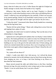honey when he'd taken me to Joe's Coffee House the night he'd helped me finally manage to mostly shuck the burden of my virginity.

(*Whatever that means*, Hayley said in my head*. Virginity is a flawed concept that's really about keeping women in their place and defining them as chattel.* I rolled my eyes and apologized to her mentally. If there was sarcasm in my mental apology, Hayley in my head didn't seem to know or care. Still, I dutifully replaced the thought with *the night I got laid for the first time.*)

"Calms the mind," I murmured when Shane finally handed me a steaming mug and the big honey bear.

"Hayley left her jacket-thingy," Shane said, sitting down across from me and sipping from a glass of water.

Apparently, his mind wasn't in need of calming. That was the story of our relationship to a large degree.

I glanced over at the patchwork madness that was Hayley's latest fashion accessory. Her kinda-girlfriend, Lisa, made it in some Art of Design & Sewing class she was taking over the summer. I usually saw Lisa on her way to the art building on my way to the gym for the taekwondo class I'd been taking, and which now seemed tainted after my dream. How was I ever going to set foot in that locker room again without imagining a pool of Shane's blood by the exit?

I shivered.

"So, wanna tell me about it?"

I didn't. I really truly didn't, but I did anyway. As I relived the dream moment by moment, the tea did nothing to stop my heart from racing, the tears from stinging my eyes, or to keep a sob from hitching in my throat as I described the final moments.

Shane moved around the table and shifted down to the floor, kneeling between my legs, his arms around my waist, trying to get as close as possible. "Darlin' it was an awful dream, but it was just a dream."

*For now*.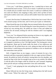"I love you," I told Shane, gripping his face. I needed him to know and understand that much at least. "I love you so much. I could tell you every day for a month and you wouldn't know how much. I could say it endlessly from now until next March, only stopping to sleep, and to chew up bites of food, and maybe swallow some water, and you still wouldn't know how much I love you."

It wasn't the first time I'd admitted how I felt for him, but it wasn't like we went around saying it all the time, and I'd never put it quite so vehemently.

Shane kissed the tops of my thighs, then my stomach below the navel at the edge of my boxer briefs. He kissed along the crease that pointed in a V down toward my now-stirring dick. He pulled me closer to him and rubbed his scratchy face all around, tickling me with his whiskers until I was laughing helplessly.

"Love you," he whispered before pressing wet kisses to my nipples, and then reaching up to pull my head down for a deep kiss.

My ever-eager dick was already ready to go. I could almost hear it cheering as it snapped to attention so fast I felt light headed. The kissing grew messy and desperate. Shane got his hands under the elastic of my underwear and jerked them off. He sucked down my cock, taking me deep and fast into his throat before I could bring up the question of whether or not we should take this somewhere more private.

Still, it lingered there on my tongue, a taste of restraint for just a few moments and then evaporated completely in the wet, eager suction of Shane's mouth. He pulled my briefs off entirely, tossing them over his shoulder, and spread my legs in the chair far enough to get access to my asshole. He rubbed it with the pads of his fingers while he sucked me, and I moaned, forgetting about private and just wanting somewhere close and comfortable.

"Couch," I said, gripping his hair and pulling him off my cock. "On the sofa. Now."

Shane followed me into the living room, looking down the hall toward Mike's room. "What if he wakes up?" I asked.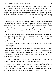Shane shrugged and muttered, "He won't," as he tumbled me to the sofa. Mike's broken chip crumbs stuck to my back but the discomfort didn't last longer than it took for Shane to get his mouth on my dick again. Lying back, I dropped one leg off the side, making more room for his fingers to explore my hole. I toyed with his short hair while he sucked, concentrating on the feeling of his mouth, so alive and warm and busy on my cock, blotting out worry and fear.

Shane pulled off my dick to push my legs up, licking my ass with a fervor that made my legs tremble under his big hands. I held his head in place, moaning into a sofa cushion to stifle my noises. He shoved a few fingers in his mouth, and then pressed two inside me, slowly twisting them so that he could get in far enough to hit my prostate. My legs kicked a little whenever he rubbed against it, and he sucked on my balls as he worked.

Finally, he slid up my body, fingers still hooked into me, and kissed my lips. I grabbed my own cock and jerked myself as he took hold of his dick and worked to get off too. Kissing, nuzzling, smelling his sweet neck, I found myself moving quickly toward orgasm.

"I'm going to come," I murmured and he redoubled his efforts in my ass with his fingers.

I spread my legs as far as I could on the narrow sofa and his fingers moved inside me a little roughly with only spit for lubrication. Orgasm—a hot, gripping pleasure starting in the base of my cock, impossible to ignore, commanding my attention and then ripping through the rest of my body exploded from my dick.

"Fuck," I cried out, arching toward Shane, shooting my come on his stomach, my chest, his arm, and a little on the back of the sofa.

"So hot, darlin'," Shane moaned and then I felt a volley of spurts, his jizz landing hotly on my abs and pecs. One large glob covered my left nipple completely. Shane shuddered through small aftershocks, and then bent to kiss and lick the come off my nipple before teasing it lightly with his teeth.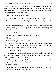We kissed tenderly for a long while, a sense of peace descending on me. I knew we should get up, clean the come off the back of the sofa and get back to Shane's room, but it was too perfect half under Shane's weight and shivering through small aftershocks in his arms.

"Mike might come in," I whispered.

"Let him. I promise he'll turn around and walk right back out."

I chuckled. Shane was probably right, but still. I didn't really want to be seen.

"It's the middle of the night," Shane reminded me. "I'm pretty sure unless you start screaming again, he's going to sleep through everything and anything."

"I'm sorry about that."

"Why be sorry? I just want you to be honest with me."

"Okay."

"Are you in danger? If you do go back?"

"I don't know. I might be." I ran my fingertips up and down the small hairs on his forearm. "I don't want you to go, though. I can't risk you. I need to do this for myself, but I can't put you in the position of—"

"I'm going with you, River."

"It's just…Shane, it might be dangerous and remember how much I love you? More than I can say? And I just can't risk your safety by exposing you to the possibility of him. I just can't do that."

"If it's so dangerous that you don't want me to go, then you shouldn't be going either. No matter what Reed wants."

"He's my brother."

"You need to talk to your parents about this. They might not want you risking this guy taking over your life again."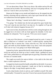"It's not about them, Shane. This is my choice. My stalker and my life and my home and my brother. My everything. And you're not going with me. As much as I want to show you my home, it's just—"

Shane put his finger on my mouth and helped me up. He stepped into the kitchen, returning with my underwear, and a rag to spot clean the sofa. After, we walked down the hall together to his room.

"Shane, here's the thing," I started, but he didn't let me go on.

"I'm going." He climbed into the bed and patted the space beside him. "You can't stop me any more than I can stop you. So, together we'll go and we'll deal with whatever happens because of it."

I got in next to him, dissatisfaction with his words cutting through me, but he tugged me to lie down with my head against his shoulder. In the neardarkness he whispered, "You've got me. I'll be your secret weapon."

\*\*\*\*

I came out of the showers, a towel wrapped around my waist. A sense of déjà vu filled me as I realized I was alone. I walked quickly, sparing little thought for Max or anyone else. I knew what this was. This was the dream again, and while my heart thudded wildly in my chest, I had come prepared. There was no way I was going to see Shane killed again.

I opened my locker, ignored the horrific decorations inside, all designed to terrify me and lock my mind up so that I couldn't think. I grabbed my jeans and T-shirt, pulled them on, and zipped open my gym bag. I heard the creak of the door as I reached inside.

The cough was exactly the same as before—a low rattle in the chest and then a violent explosion at the end.

I wrapped my hand around the handle and pulled out the knife. It was just a kitchen knife, but recently sharpened. I made sure of that by touching my finger to the edge. It sang sharply against my skin.

I took a deep breath, slowly in and out, and I nodded to myself. My mind whirled madly. I'd trained for years but I'd never hurt anyone beyond a bruise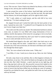or two. This was new. I knew I had to stay ahead of my dream, or else it would change on me, and my plan would be destroyed.

I came around the corner of the lockers, head held high, and the knife behind my back. There he was by the exit, just like last time. His dark hood hid his features, his left hand dangled, and in his right he held a knife.

"Hi," I said, calmly as I could muster, and the cold chill of my voice shocked me. "I've been waiting for you."

He stepped forward and I tucked the knife into the back pocket of my jeans. I spread my arms wide. "I wondered if you'd forgotten me, but I knew you'd never forget your baby boy."

The words were like acid in my mouth. The endearment had been in almost every note, no matter if it was filled with creepy declarations of love or ruthless, horrific descriptions of the torture he was going to visit on my body.

"Because you love your baby boy, don't you? And I've waited a long time for you to come and make me love you too."

His hooded head dipped to the side, and I didn't dare look away to see what he was doing with his knife. I needed him to come closer, to come forward to me. If he went out the door, he'd be back with Shane and I couldn't live through that dream again.

"Slut," his voice echoed in the locker room. "Filthy slut."

"I am filthy, it's true. I need you to clean me up. Show me who I belong to."

He took a step closer to me and then, like so often happens in dreams, he was right there, in my face. The cold of his blade tore through my shirt and bit into my skin. But I didn't hesitate—a quick step back on my right leg, and then a big step back with my left. My powerful crescent kick landed on his wrist, knocking the knife out of his hand and sending it skittering. Executing a series of moves that had been drilled into me during my years of training, I twisted his arm behind his back, and pulled the knife from my back pocket with my left hand.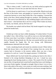"This is where it ends," I said in his ear, my knife tucked up against his throat. "Because I'll never let you take him from me. Never."

I slit his throat in a quick move. It was fast and terrible. Blood arced onto the floor of the locker room, and gurgled as it poured out of him. I felt the connection between us sever deep inside like a line snapping. I lowered his body to the floor, blood soaking through my sneakers, and splashing on the floor. The scent of iron filled the air. My trembling fingers went to his hood. I had to know—who had done this to me for so long? Who'd taken my home, my family, my friends, and my life from me?

The hoodie was soaked with hot blood. My breath stopped in my lungs. I jerked the hoodie back.

\*\*\*\*

I bolted up in bed, my heart wildly thumping. I'd woken before I'd seen my stalker's face. After all that, I was still no wiser as to who had stalked me for three years than I was before. I rubbed a hand over my face, and looked down at Shane sleeping beside me. His lips were parted and his eyes moved rapidly beneath his fragile lids. He was strong, with Midwestern handsomeness inherited from his father.

I took a steadying breath and turned my attention inward. Where before there had always been a taut thread of fear running from me, across the country back to Sewanee, to the mystery stalker, there was now a loose sensation of a cord cut. I wasn't his puppet anymore. I'd killed him.

Shane shifted and I lay back beside him, putting my head on his chest. I listened to his strong heartbeat thumping in my ear. I closed my eyes, imagining his heart beating steady as a drum. The sound of his life reached into me like a living thread and wound itself around that loose cord, binding us even more firmly together. Strength to strength. Heart to heart. Love to love. Here in the safety of his arms, I was certain we could overcome anything. And if we couldn't, there was still the truth that love was forever stronger than fear.

#### **THE END**